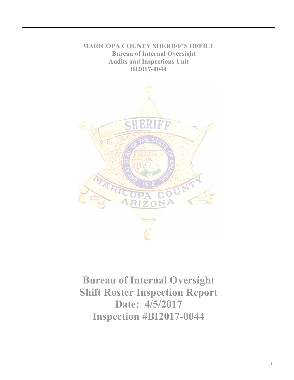

**Bureau of Internal Oversight Shift Roster Inspection Report Date: 4/5/2017 Inspection #BI2017-0044**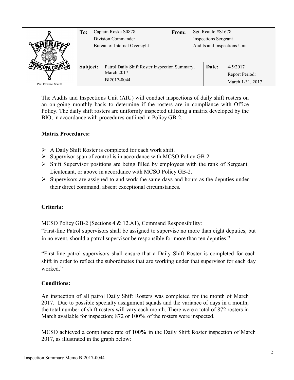| Captain Roska S0878<br>To:<br>Division Commander<br>Bureau of Internal Oversight                                | Sgt. Reaulo #S1678<br>From:<br><b>Inspections Sergeant</b><br>Audits and Inspections Unit |  |  |       |                                                |
|-----------------------------------------------------------------------------------------------------------------|-------------------------------------------------------------------------------------------|--|--|-------|------------------------------------------------|
| Subject:<br>Patrol Daily Shift Roster Inspection Summary,<br>March 2017<br>BI2017-0044<br>Paul Penzone, Sheriff |                                                                                           |  |  | Date: | 4/5/2017<br>Report Period:<br>March 1-31, 2017 |

The Audits and Inspections Unit (AIU) will conduct inspections of daily shift rosters on an on-going monthly basis to determine if the rosters are in compliance with Office Policy. The daily shift rosters are uniformly inspected utilizing a matrix developed by the BIO, in accordance with procedures outlined in Policy GB-2.

## **Matrix Procedures:**

- $\triangleright$  A Daily Shift Roster is completed for each work shift.
- $\triangleright$  Supervisor span of control is in accordance with MCSO Policy GB-2.
- $\triangleright$  Shift Supervisor positions are being filled by employees with the rank of Sergeant, Lieutenant, or above in accordance with MCSO Policy GB-2.
- $\triangleright$  Supervisors are assigned to and work the same days and hours as the deputies under their direct command, absent exceptional circumstances.

## **Criteria:**

MCSO Policy GB-2 (Sections 4 & 12.A1), Command Responsibility:

"First-line Patrol supervisors shall be assigned to supervise no more than eight deputies, but in no event, should a patrol supervisor be responsible for more than ten deputies."

"First-line patrol supervisors shall ensure that a Daily Shift Roster is completed for each shift in order to reflect the subordinates that are working under that supervisor for each day worked"

## **Conditions:**

An inspection of all patrol Daily Shift Rosters was completed for the month of March 2017. Due to possible specialty assignment squads and the variance of days in a month; the total number of shift rosters will vary each month. There were a total of 872 rosters in March available for inspection; 872 or **100%** of the rosters were inspected.

MCSO achieved a compliance rate of **100%** in the Daily Shift Roster inspection of March 2017, as illustrated in the graph below: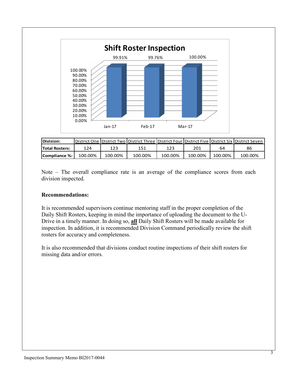

| Division:             |         |         |         |         |         |         | District One District Two District Three District Four District Five District Six District Seven |
|-----------------------|---------|---------|---------|---------|---------|---------|--------------------------------------------------------------------------------------------------|
| <b>Total Rosters:</b> | 124     | 123     | 151     | 123     | 201     | 64      | 86                                                                                               |
| Compliance %:         | 100.00% | 100.00% | 100.00% | 100.00% | 100.00% | 100.00% | 100.00%                                                                                          |

Note – The overall compliance rate is an average of the compliance scores from each division inspected.

## **Recommendations:**

It is recommended supervisors continue mentoring staff in the proper completion of the Daily Shift Rosters, keeping in mind the importance of uploading the document to the U-Drive in a timely manner. In doing so, **all** Daily Shift Rosters will be made available for inspection. In addition, it is recommended Division Command periodically review the shift rosters for accuracy and completeness.

It is also recommended that divisions conduct routine inspections of their shift rosters for missing data and/or errors.